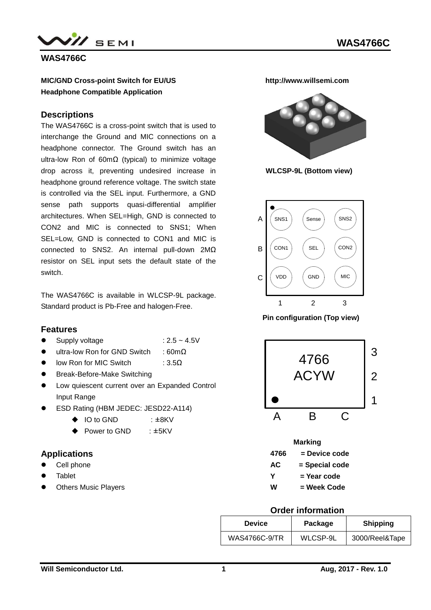

**WAS4766C**

#### **MIC/GND Cross-point Switch for EU/US Headphone Compatible Application**

#### **Descriptions**

The WAS4766C is a cross-point switch that is used to interchange the Ground and MIC connections on a headphone connector. The Ground switch has an ultra-low Ron of 60mΩ (typical) to minimize voltage drop across it, preventing undesired increase in headphone ground reference voltage. The switch state is controlled via the SEL input. Furthermore, a GND sense path supports quasi-differential amplifier architectures. When SEL=High, GND is connected to CON2 and MIC is connected to SNS1; When SEL=Low, GND is connected to CON1 and MIC is connected to SNS2. An internal pull-down 2MΩ resistor on SEL input sets the default state of the switch.

The WAS4766C is available in WLCSP-9L package. Standard product is Pb-Free and halogen-Free.

#### **Features**

- Supply voltage  $: 2.5 \sim 4.5V$ 
	-
- ultra-low Ron for GND Switch : 60mΩ
- $\bullet$  low Ron for MIC Switch : 3.5 $\Omega$
- Break-Before-Make Switching
- $\bullet$  Low quiescent current over an Expanded Control Input Range
- ESD Rating (HBM JEDEC: JESD22-A114)
	- ◆ IO to GND : ±8KV
	- ◆ Power to GND : ±5KV

### **Applications**

- Cell phone
- Tablet
- Others Music Players

**http://www.willsemi.com**



**WLCSP-9L (Bottom view)**



 **Pin configuration (Top view)**



| <b>Marking</b> |                |  |  |  |  |
|----------------|----------------|--|--|--|--|
| 4766           | = Device code  |  |  |  |  |
| <b>AC</b>      | = Special code |  |  |  |  |
| Y              | = Year code    |  |  |  |  |
| w              | = Week Code    |  |  |  |  |

#### **Order information**

| <b>Device</b>        | Package  | <b>Shipping</b> |
|----------------------|----------|-----------------|
| <b>WAS4766C-9/TR</b> | WLCSP-9L | 3000/Reel&Tape  |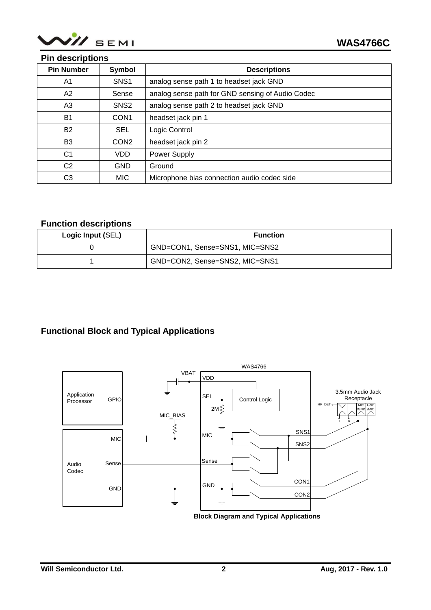

### **Pin descriptions**

| <b>Pin Number</b> | Symbol           | <b>Descriptions</b>                              |
|-------------------|------------------|--------------------------------------------------|
| A1                | SNS <sub>1</sub> | analog sense path 1 to headset jack GND          |
| A2                | Sense            | analog sense path for GND sensing of Audio Codec |
| A3                | SNS <sub>2</sub> | analog sense path 2 to headset jack GND          |
| <b>B1</b>         | CON <sub>1</sub> | headset jack pin 1                               |
| <b>B2</b>         | <b>SEL</b>       | Logic Control                                    |
| B <sub>3</sub>    | CON <sub>2</sub> | headset jack pin 2                               |
| C <sub>1</sub>    | <b>VDD</b>       | Power Supply                                     |
| C <sub>2</sub>    | <b>GND</b>       | Ground                                           |
| C <sub>3</sub>    | <b>MIC</b>       | Microphone bias connection audio codec side      |

### **Function descriptions**

| Logic Input (SEL) | <b>Function</b>                |
|-------------------|--------------------------------|
|                   | GND=CON1, Sense=SNS1, MIC=SNS2 |
|                   | GND=CON2, Sense=SNS2, MIC=SNS1 |

## **Functional Block and Typical Applications**

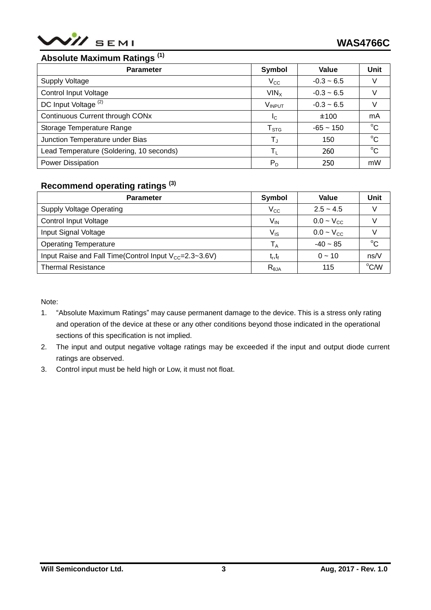

# **Absolute Maximum Ratings (1)**

| <b>Parameter</b>                         | <b>Symbol</b>           | Value        | Unit        |
|------------------------------------------|-------------------------|--------------|-------------|
| <b>Supply Voltage</b>                    | $V_{\rm CC}$            | $-0.3 - 6.5$ |             |
| <b>Control Input Voltage</b>             | VIN <sub>x</sub>        | $-0.3 - 6.5$ |             |
| DC Input Voltage <sup>(2)</sup>          | VINPUT                  | $-0.3 - 6.5$ |             |
| Continuous Current through CONx          | $I_{\rm C}$             | ±100         | mA          |
| Storage Temperature Range                | ${\sf T}_{\text{STG}}$  | $-65 - 150$  | $^{\circ}C$ |
| Junction Temperature under Bias          | $\mathsf{T}_\mathsf{J}$ | 150          | $^{\circ}C$ |
| Lead Temperature (Soldering, 10 seconds) | Tı.                     | 260          | $^{\circ}C$ |
| <b>Power Dissipation</b>                 | $P_D$                   | 250          | mW          |

### **Recommend operating ratings (3)**

| <b>Parameter</b>                                                | Symbol                     | Value          | Unit           |
|-----------------------------------------------------------------|----------------------------|----------------|----------------|
| <b>Supply Voltage Operating</b>                                 | $\rm V_{CC}$               | $2.5 - 4.5$    |                |
| <b>Control Input Voltage</b>                                    | $V_{IN}$                   | $0.0 - V_{CC}$ |                |
| Input Signal Voltage                                            | $\mathsf{V}_{\mathsf{IS}}$ | $0.0 - V_{CC}$ |                |
| <b>Operating Temperature</b>                                    | $\mathsf{T}_\mathsf{A}$    | $-40 - 85$     | $^{\circ}$ C   |
| Input Raise and Fall Time(Control Input $V_{cc} = 2.3 - 3.6V$ ) | $t_{r}, t_{f}$             | $0 - 10$       | ns/V           |
| <b>Thermal Resistance</b>                                       | $R_{\theta$ JA             | 115            | $^{\circ}$ C/W |

Note:

- 1. "Absolute Maximum Ratings" may cause permanent damage to the device. This is a stress only rating and operation of the device at these or any other conditions beyond those indicated in the operational sections of this specification is not implied.
- 2. The input and output negative voltage ratings may be exceeded if the input and output diode current ratings are observed.
- 3. Control input must be held high or Low, it must not float.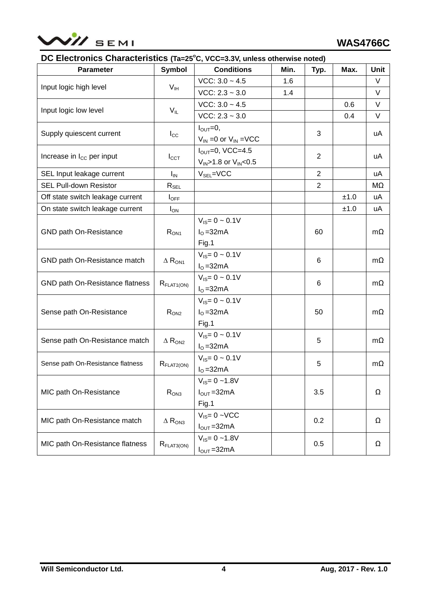

### **DC Electronics Characteristics (Ta=25<sup>o</sup>C, VCC=3.3V, unless otherwise noted)**

| <b>Parameter</b>                  | <b>Symbol</b>                        | <b>Conditions</b>               | Min. | Typ.           | Max. | <b>Unit</b> |
|-----------------------------------|--------------------------------------|---------------------------------|------|----------------|------|-------------|
|                                   | $V_{IH}$                             | $VCC: 3.0 - 4.5$                | 1.6  |                |      | V           |
| Input logic high level            |                                      | $VCC: 2.3 - 3.0$                | 1.4  |                |      | V           |
|                                   |                                      | $VCC: 3.0 - 4.5$                |      |                | 0.6  | V           |
| Input logic low level             | $V_{IL}$                             | $VCC: 2.3 - 3.0$                |      |                | 0.4  | V           |
|                                   |                                      | $I_{\text{OUT}}=0$ ,            |      |                |      |             |
| Supply quiescent current          | $I_{\rm CC}$                         | $V_{IN}$ =0 or $V_{IN}$ =VCC    |      | 3              |      | uA          |
|                                   |                                      | $I_{\text{OUT}}=0$ , VCC=4.5    |      | $\overline{2}$ |      |             |
| Increase in $I_{CC}$ per input    | $I_{\text{CCT}}$                     | $V_{IN}$ >1.8 or $V_{IN}$ <0.5  |      |                |      | uA          |
| SEL Input leakage current         | $I_{\text{IN}}$                      | $V_{SEL}$ =VCC                  |      | $\overline{2}$ |      | uA          |
| <b>SEL Pull-down Resistor</b>     | $\mathsf{R}_{\mathsf{SEL}}$          |                                 |      | $\overline{2}$ |      | MΩ          |
| Off state switch leakage current  | $I_{\text{OFF}}$                     |                                 |      |                | ±1.0 | uA          |
| On state switch leakage current   | $I_{ON}$                             |                                 |      |                | ±1.0 | uA          |
|                                   |                                      | $V_{IS} = 0 \sim 0.1 V$         |      |                |      |             |
| GND path On-Resistance            | $R_{ON1}$                            | $IO = 32mA$                     |      | 60             |      | $m\Omega$   |
|                                   |                                      | Fig.1                           |      |                |      |             |
|                                   | $\Delta$ $\mathsf{R}_{\mathsf{ON1}}$ | $V_{IS} = 0 \sim 0.1 V$         |      | 6              |      | $m\Omega$   |
| GND path On-Resistance match      |                                      | $IO = 32mA$                     |      |                |      |             |
| GND path On-Resistance flatness   | $R_{\text{FLAT1} (ON)}$              | $V_{IS} = 0 \sim 0.1 V$         |      | 6              |      | $m\Omega$   |
|                                   |                                      | $IO = 32mA$                     |      |                |      |             |
|                                   |                                      | $V_{\text{IS}} = 0 \sim 0.1 V$  |      |                |      |             |
| Sense path On-Resistance          | $R_{ON2}$                            | $IO = 32mA$                     |      | 50             |      | mΩ          |
|                                   |                                      | Fig.1                           |      |                |      |             |
| Sense path On-Resistance match    | $\Delta$ R <sub>ON2</sub>            | $V_{IS} = 0 \sim 0.1 V$         |      | 5              |      | mΩ          |
|                                   |                                      | $IO = 32mA$                     |      |                |      |             |
| Sense path On-Resistance flatness |                                      | $V_{IS} = 0 \sim 0.1 V$         |      | 5              |      | mΩ          |
|                                   | $R_{FLAT2(ON)}$                      | $IO = 32mA$                     |      |                |      |             |
|                                   |                                      | $V_{\text{IS}} = 0 - 1.8V$      |      |                |      |             |
| MIC path On-Resistance            | R <sub>ON3</sub>                     | $I_{\text{OUT}} = 32 \text{mA}$ |      | $3.5\,$        |      | Ω           |
|                                   |                                      | Fig.1                           |      |                |      |             |
| MIC path On-Resistance match      |                                      | $V_{IS} = 0 - VCC$              |      | 0.2            |      | Ω           |
|                                   | $\Delta$ $\mathsf{R}_{\mathsf{ON3}}$ | $I_{\text{OUT}} = 32 \text{mA}$ |      |                |      |             |
| MIC path On-Resistance flatness   |                                      | $V_{IS} = 0 - 1.8V$             |      | 0.5            |      | Ω           |
|                                   | $R_{\text{FLAT3} (ON)}$              | $I_{\text{OUT}} = 32 \text{mA}$ |      |                |      |             |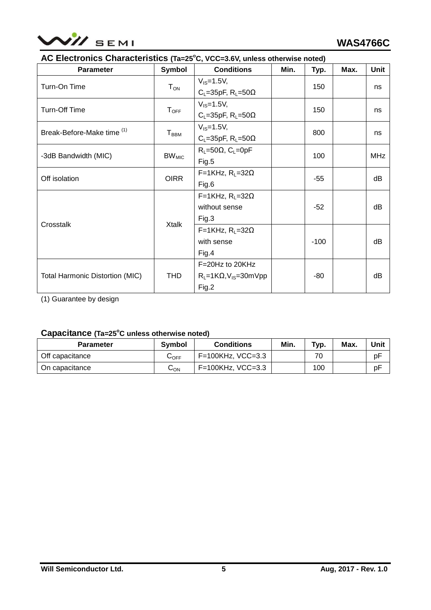

### **AC Electronics Characteristics (Ta=25<sup>o</sup>C, VCC=3.6V, unless otherwise noted)**

| <b>Parameter</b>                       | <b>Symbol</b>                | <b>Conditions</b>                        | Min.   | Typ.  | Max. | <b>Unit</b> |
|----------------------------------------|------------------------------|------------------------------------------|--------|-------|------|-------------|
| Turn-On Time                           | $T_{ON}$                     | $V_{IS} = 1.5V$ ,                        |        | 150   |      |             |
|                                        |                              | $C_L = 35pF$ , $R_L = 50\Omega$          |        |       |      | ns          |
| Turn-Off Time                          |                              | $V_{IS} = 1.5V$ ,                        |        | 150   |      |             |
|                                        | ${\mathsf T}_{\mathsf{OFF}}$ | $C_L$ =35pF, R <sub>L</sub> =50 $\Omega$ |        |       |      | ns          |
| Break-Before-Make time (1)             |                              | $V_{IS} = 1.5V$ ,                        |        |       |      |             |
|                                        | ${\mathsf T}_{\mathsf{BBM}}$ | $C_L = 35pF$ , $R_L = 50\Omega$          |        | 800   |      | ns          |
|                                        |                              | $R_L = 50\Omega$ , C <sub>L</sub> =0pF   |        |       |      |             |
| -3dB Bandwidth (MIC)                   | $BW_{MIC}$                   | Fig.5                                    |        | 100   |      | <b>MHz</b>  |
|                                        | <b>OIRR</b>                  | $F=1KHz$ , $R_L=32\Omega$                |        | $-55$ |      | dB          |
| Off isolation                          |                              | Fig.6                                    |        |       |      |             |
|                                        |                              | $F=1KHz$ , $R_L=32\Omega$                |        | $-52$ |      | dB          |
|                                        | Xtalk                        | without sense                            |        |       |      |             |
| Crosstalk                              |                              | Fig.3                                    |        |       |      |             |
|                                        |                              | $F=1KHz$ , $R_L=32\Omega$                |        |       |      |             |
|                                        |                              | with sense                               | $-100$ |       |      | dB          |
|                                        |                              | Fig.4                                    |        |       |      |             |
|                                        |                              | F=20Hz to 20KHz                          |        |       |      |             |
| <b>Total Harmonic Distortion (MIC)</b> | <b>THD</b>                   | $R_L = 1K\Omega$ , $V_{IS} = 30mVpp$     |        | -80   |      | dB          |
|                                        |                              | Fig.2                                    |        |       |      |             |

(1) Guarantee by design

### **Capacitance (Ta=25<sup>o</sup>C unless otherwise noted)**

| <b>Parameter</b> | Symbol     | <b>Conditions</b>    | Min. | Typ. | Max. | Unit |
|------------------|------------|----------------------|------|------|------|------|
| Off capacitance  | $\cup$ OFF | $F=100KHz$ , VCC=3.3 |      | 70   |      | pF   |
| On capacitance   | ∪ດ⊾        | F=100KHz, VCC=3.3    |      | 100  |      | рF   |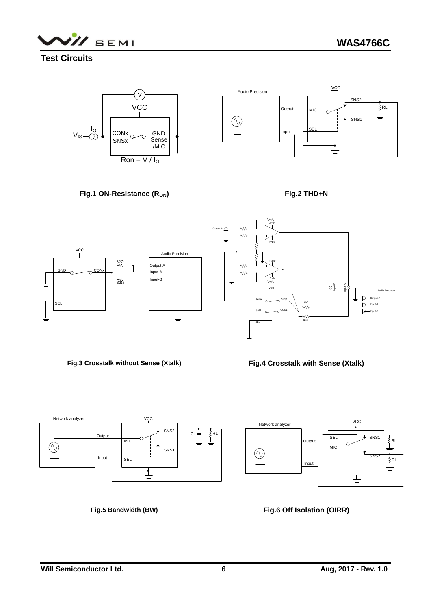SEMI

**Test Circuits**











**Fig.3 Crosstalk without Sense (Xtalk)** 

**Fig.4 Crosstalk with Sense (Xtalk)**







**Fig.6 Off Isolation (OIRR)**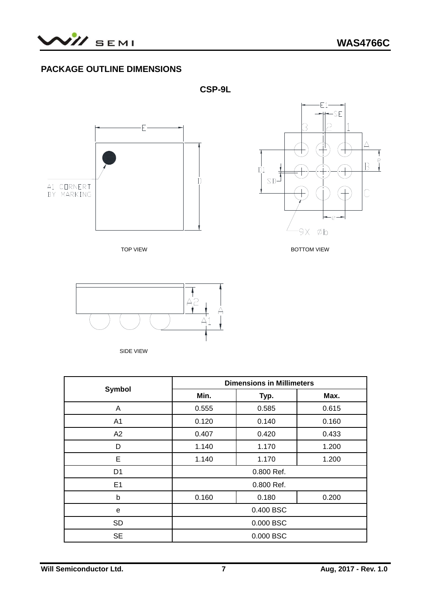

# **PACKAGE OUTLINE DIMENSIONS**







**TOP VIEW BOTTOM VIEW** 



SIDE VIEW

|                | <b>Dimensions in Millimeters</b> |            |       |  |  |
|----------------|----------------------------------|------------|-------|--|--|
| <b>Symbol</b>  | Min.                             | Typ.       | Max.  |  |  |
| A              | 0.555                            | 0.585      | 0.615 |  |  |
| A <sub>1</sub> | 0.120                            | 0.140      | 0.160 |  |  |
| A2             | 0.407                            | 0.420      | 0.433 |  |  |
| D              | 1.140                            | 1.170      | 1.200 |  |  |
| E              | 1.140<br>1.170                   |            | 1.200 |  |  |
| D <sub>1</sub> |                                  | 0.800 Ref. |       |  |  |
| E <sub>1</sub> |                                  | 0.800 Ref. |       |  |  |
| b              | 0.160                            | 0.180      |       |  |  |
| е              | 0.400 BSC                        |            |       |  |  |
| <b>SD</b>      | 0.000 BSC                        |            |       |  |  |
| <b>SE</b>      | 0.000 BSC                        |            |       |  |  |

**CSP-9L**